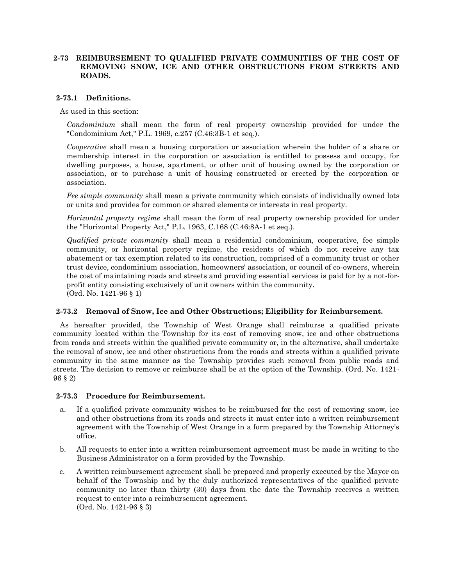# **2-73 REIMBURSEMENT TO QUALIFIED PRIVATE COMMUNITIES OF THE COST OF REMOVING SNOW, ICE AND OTHER OBSTRUCTIONS FROM STREETS AND ROADS.**

## **2-73.1 Definitions.**

As used in this section:

*Condominium* shall mean the form of real property ownership provided for under the "Condominium Act," P.L. 1969, c.257 (C.46:3B-1 et seq.).

*Cooperative* shall mean a housing corporation or association wherein the holder of a share or membership interest in the corporation or association is entitled to possess and occupy, for dwelling purposes, a house, apartment, or other unit of housing owned by the corporation or association, or to purchase a unit of housing constructed or erected by the corporation or association.

*Fee simple community* shall mean a private community which consists of individually owned lots or units and provides for common or shared elements or interests in real property.

*Horizontal property regime* shall mean the form of real property ownership provided for under the "Horizontal Property Act," P.L. 1963, C.168 (C.46:8A-1 et seq.).

*Qualified private community* shall mean a residential condominium, cooperative, fee simple community, or horizontal property regime, the residents of which do not receive any tax abatement or tax exemption related to its construction, comprised of a community trust or other trust device, condominium association, homeowners' association, or council of co-owners, wherein the cost of maintaining roads and streets and providing essential services is paid for by a not-forprofit entity consisting exclusively of unit owners within the community. (Ord. No. 1421-96 § 1)

## **2-73.2 Removal of Snow, Ice and Other Obstructions; Eligibility for Reimbursement.**

As hereafter provided, the Township of West Orange shall reimburse a qualified private community located within the Township for its cost of removing snow, ice and other obstructions from roads and streets within the qualified private community or, in the alternative, shall undertake the removal of snow, ice and other obstructions from the roads and streets within a qualified private community in the same manner as the Township provides such removal from public roads and streets. The decision to remove or reimburse shall be at the option of the Township. (Ord. No. 1421- 96 § 2)

#### **2-73.3 Procedure for Reimbursement.**

- a. If a qualified private community wishes to be reimbursed for the cost of removing snow, ice and other obstructions from its roads and streets it must enter into a written reimbursement agreement with the Township of West Orange in a form prepared by the Township Attorney's office.
- b. All requests to enter into a written reimbursement agreement must be made in writing to the Business Administrator on a form provided by the Township.
- c. A written reimbursement agreement shall be prepared and properly executed by the Mayor on behalf of the Township and by the duly authorized representatives of the qualified private community no later than thirty (30) days from the date the Township receives a written request to enter into a reimbursement agreement. (Ord. No. 1421-96 § 3)